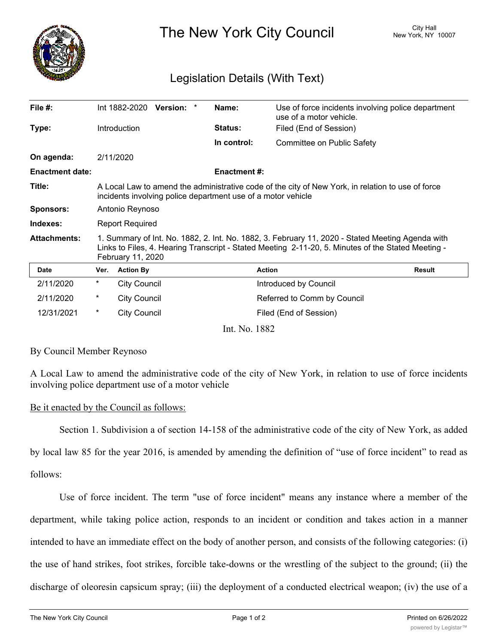

The New York City Council New York, NY 10007

## Legislation Details (With Text)

| File #:                |                                                                                                                                                                                                                             | Int 1882-2020       | Version: * |  | Name:              | Use of force incidents involving police department<br>use of a motor vehicle. |               |
|------------------------|-----------------------------------------------------------------------------------------------------------------------------------------------------------------------------------------------------------------------------|---------------------|------------|--|--------------------|-------------------------------------------------------------------------------|---------------|
| Type:                  |                                                                                                                                                                                                                             | Introduction        |            |  | Status:            | Filed (End of Session)                                                        |               |
|                        |                                                                                                                                                                                                                             |                     |            |  | In control:        | Committee on Public Safety                                                    |               |
| On agenda:             |                                                                                                                                                                                                                             | 2/11/2020           |            |  |                    |                                                                               |               |
| <b>Enactment date:</b> |                                                                                                                                                                                                                             |                     |            |  | <b>Enactment#:</b> |                                                                               |               |
| Title:                 | A Local Law to amend the administrative code of the city of New York, in relation to use of force<br>incidents involving police department use of a motor vehicle                                                           |                     |            |  |                    |                                                                               |               |
| <b>Sponsors:</b>       | Antonio Reynoso                                                                                                                                                                                                             |                     |            |  |                    |                                                                               |               |
| Indexes:               | <b>Report Required</b>                                                                                                                                                                                                      |                     |            |  |                    |                                                                               |               |
| <b>Attachments:</b>    | 1. Summary of Int. No. 1882, 2. Int. No. 1882, 3. February 11, 2020 - Stated Meeting Agenda with<br>Links to Files, 4. Hearing Transcript - Stated Meeting 2-11-20, 5. Minutes of the Stated Meeting -<br>February 11, 2020 |                     |            |  |                    |                                                                               |               |
| <b>Date</b>            | Ver.                                                                                                                                                                                                                        | <b>Action By</b>    |            |  |                    | <b>Action</b>                                                                 | <b>Result</b> |
| 2/11/2020              | *                                                                                                                                                                                                                           | <b>City Council</b> |            |  |                    | Introduced by Council                                                         |               |
| 2/11/2020              | $^\ast$                                                                                                                                                                                                                     | <b>City Council</b> |            |  |                    | Referred to Comm by Council                                                   |               |
| 12/31/2021             | $^\star$                                                                                                                                                                                                                    | <b>City Council</b> |            |  |                    | Filed (End of Session)                                                        |               |
| Int. No. 1882          |                                                                                                                                                                                                                             |                     |            |  |                    |                                                                               |               |

By Council Member Reynoso

A Local Law to amend the administrative code of the city of New York, in relation to use of force incidents involving police department use of a motor vehicle

## Be it enacted by the Council as follows:

Section 1. Subdivision a of section 14-158 of the administrative code of the city of New York, as added

by local law 85 for the year 2016, is amended by amending the definition of "use of force incident" to read as follows:

Use of force incident. The term "use of force incident" means any instance where a member of the department, while taking police action, responds to an incident or condition and takes action in a manner intended to have an immediate effect on the body of another person, and consists of the following categories: (i) the use of hand strikes, foot strikes, forcible take-downs or the wrestling of the subject to the ground; (ii) the discharge of oleoresin capsicum spray; (iii) the deployment of a conducted electrical weapon; (iv) the use of a